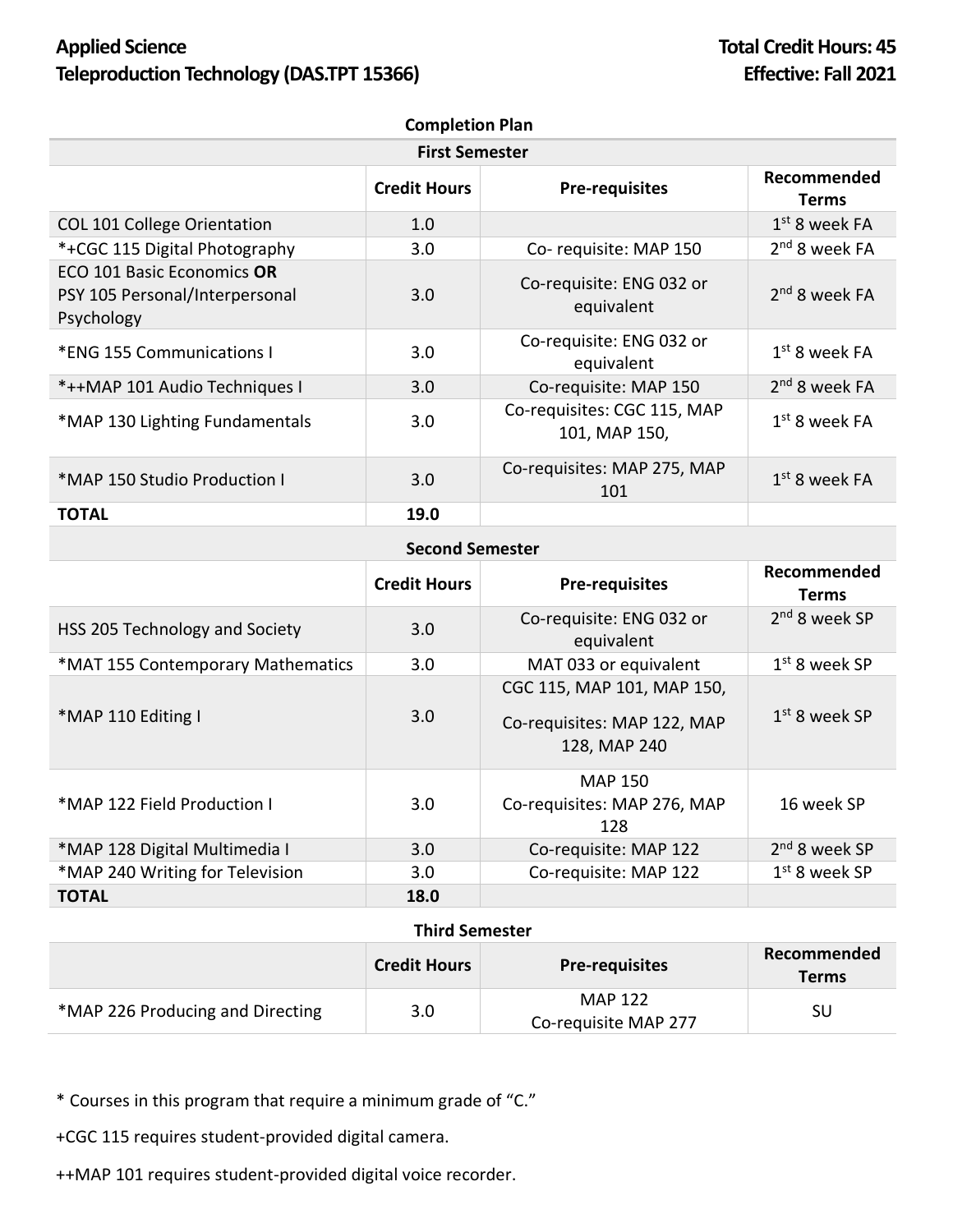## **Applied Science Total Credit Hours: 45 Teleproduction Technology (DAS.TPT 15366) Effective: Fall 2021**

| <b>Completion Plan</b>                                                     |                     |                                              |                             |  |  |
|----------------------------------------------------------------------------|---------------------|----------------------------------------------|-----------------------------|--|--|
| <b>First Semester</b>                                                      |                     |                                              |                             |  |  |
|                                                                            | <b>Credit Hours</b> | <b>Pre-requisites</b>                        | Recommended<br><b>Terms</b> |  |  |
| <b>COL 101 College Orientation</b>                                         | 1.0                 |                                              | $1st$ 8 week FA             |  |  |
| *+CGC 115 Digital Photography                                              | 3.0                 | Co-requisite: MAP 150                        | 2 <sup>nd</sup> 8 week FA   |  |  |
| ECO 101 Basic Economics OR<br>PSY 105 Personal/Interpersonal<br>Psychology | 3.0                 | Co-requisite: ENG 032 or<br>equivalent       | 2 <sup>nd</sup> 8 week FA   |  |  |
| *ENG 155 Communications I                                                  | 3.0                 | Co-requisite: ENG 032 or<br>equivalent       | $1st$ 8 week FA             |  |  |
| *++MAP 101 Audio Techniques I                                              | 3.0                 | Co-requisite: MAP 150                        | $2nd$ 8 week FA             |  |  |
| *MAP 130 Lighting Fundamentals                                             | 3.0                 | Co-requisites: CGC 115, MAP<br>101, MAP 150, | $1st$ 8 week FA             |  |  |
| *MAP 150 Studio Production I                                               | 3.0                 | Co-requisites: MAP 275, MAP<br>101           | $1st$ 8 week FA             |  |  |
| <b>TOTAL</b>                                                               | 19.0                |                                              |                             |  |  |

## **Second Semester**

|                                   | <b>Credit Hours</b> | <b>Pre-requisites</b>                                                     | Recommended<br><b>Terms</b> |
|-----------------------------------|---------------------|---------------------------------------------------------------------------|-----------------------------|
| HSS 205 Technology and Society    | 3.0                 | Co-requisite: ENG 032 or<br>equivalent                                    | 2 <sup>nd</sup> 8 week SP   |
| *MAT 155 Contemporary Mathematics | 3.0                 | MAT 033 or equivalent                                                     | $1st$ 8 week SP             |
| *MAP 110 Editing I                | 3.0                 | CGC 115, MAP 101, MAP 150,<br>Co-requisites: MAP 122, MAP<br>128, MAP 240 | $1st$ 8 week SP             |
| *MAP 122 Field Production I       | 3.0                 | <b>MAP 150</b><br>Co-requisites: MAP 276, MAP<br>128                      | 16 week SP                  |
| *MAP 128 Digital Multimedia I     | 3.0                 | Co-requisite: MAP 122                                                     | 2 <sup>nd</sup> 8 week SP   |
| *MAP 240 Writing for Television   | 3.0                 | Co-requisite: MAP 122                                                     | $1st$ 8 week SP             |
| <b>TOTAL</b>                      | 18.0                |                                                                           |                             |

## **Third Semester**

|                                  | <b>Credit Hours</b> | <b>Pre-requisites</b>           | Recommended<br><b>Terms</b> |
|----------------------------------|---------------------|---------------------------------|-----------------------------|
| *MAP 226 Producing and Directing | 3.0                 | MAP 122<br>Co-requisite MAP 277 | SU                          |

\* Courses in this program that require a minimum grade of "C."

+CGC 115 requires student-provided digital camera.

++MAP 101 requires student-provided digital voice recorder.